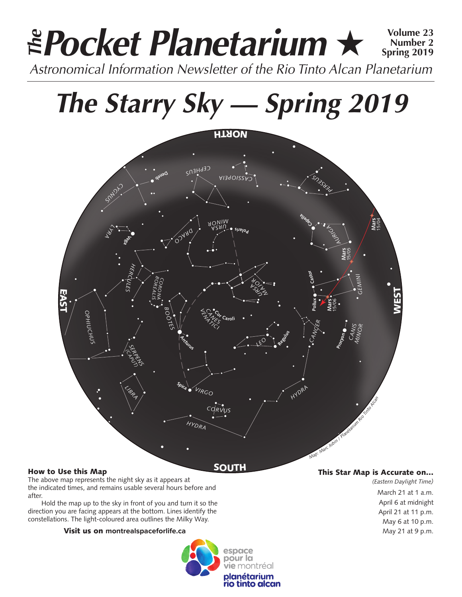# *Pocket Planetarium* ★ **Volume 23** *Astronomical Information Newsletter of the Rio Tinto Alcan Planetarium The* **Number 2 Spring 2019**

*The Starry Sky — Spring 2019*



The above map represents the night sky as it appears at the indicated times, and remains usable several hours before and after.

Hold the map up to the sky in front of you and turn it so the direction you are facing appears at the bottom. Lines identify the constellations. The light-coloured area outlines the Milky Way.

### Visit us on **montrealspaceforlife.ca**



## This Star Map is Accurate on…

*(Eastern Daylight Time)* March 21 at 1 a.m. April 6 at midnight April 21 at 11 p.m. May 6 at 10 p.m. May 21 at 9 p.m.